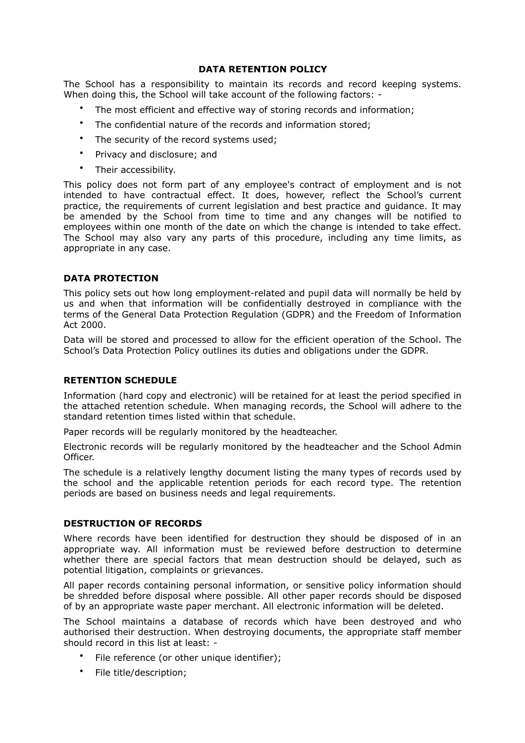# **DATA RETENTION POLICY**

The School has a responsibility to maintain its records and record keeping systems. When doing this, the School will take account of the following factors: -

- The most efficient and effective way of storing records and information;
- The confidential nature of the records and information stored;
- The security of the record systems used;
- Privacy and disclosure; and
- Their accessibility.

This policy does not form part of any employee's contract of employment and is not intended to have contractual effect. It does, however, reflect the School's current practice, the requirements of current legislation and best practice and guidance. It may be amended by the School from time to time and any changes will be notified to employees within one month of the date on which the change is intended to take effect. The School may also vary any parts of this procedure, including any time limits, as appropriate in any case.

# **DATA PROTECTION**

This policy sets out how long employment-related and pupil data will normally be held by us and when that information will be confidentially destroyed in compliance with the terms of the General Data Protection Regulation (GDPR) and the Freedom of Information Act 2000.

Data will be stored and processed to allow for the efficient operation of the School. The School's Data Protection Policy outlines its duties and obligations under the GDPR.

### **RETENTION SCHEDULE**

Information (hard copy and electronic) will be retained for at least the period specified in the attached retention schedule. When managing records, the School will adhere to the standard retention times listed within that schedule.

Paper records will be regularly monitored by the headteacher.

Electronic records will be regularly monitored by the headteacher and the School Admin Officer.

The schedule is a relatively lengthy document listing the many types of records used by the school and the applicable retention periods for each record type. The retention periods are based on business needs and legal requirements.

### **DESTRUCTION OF RECORDS**

Where records have been identified for destruction they should be disposed of in an appropriate way. All information must be reviewed before destruction to determine whether there are special factors that mean destruction should be delayed, such as potential litigation, complaints or grievances.

All paper records containing personal information, or sensitive policy information should be shredded before disposal where possible. All other paper records should be disposed of by an appropriate waste paper merchant. All electronic information will be deleted.

The School maintains a database of records which have been destroyed and who authorised their destruction. When destroying documents, the appropriate staff member should record in this list at least: -

- File reference (or other unique identifier);
- File title/description;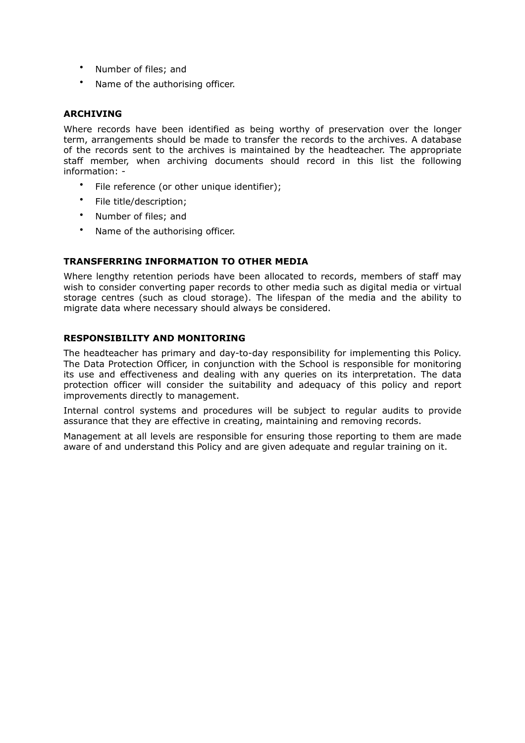- Number of files; and
- Name of the authorising officer.

## **ARCHIVING**

Where records have been identified as being worthy of preservation over the longer term, arrangements should be made to transfer the records to the archives. A database of the records sent to the archives is maintained by the headteacher. The appropriate staff member, when archiving documents should record in this list the following information: -

- File reference (or other unique identifier);
- File title/description;
- Number of files; and
- Name of the authorising officer.

# **TRANSFERRING INFORMATION TO OTHER MEDIA**

Where lengthy retention periods have been allocated to records, members of staff may wish to consider converting paper records to other media such as digital media or virtual storage centres (such as cloud storage). The lifespan of the media and the ability to migrate data where necessary should always be considered.

# **RESPONSIBILITY AND MONITORING**

The headteacher has primary and day-to-day responsibility for implementing this Policy. The Data Protection Officer, in conjunction with the School is responsible for monitoring its use and effectiveness and dealing with any queries on its interpretation. The data protection officer will consider the suitability and adequacy of this policy and report improvements directly to management.

Internal control systems and procedures will be subject to regular audits to provide assurance that they are effective in creating, maintaining and removing records.

Management at all levels are responsible for ensuring those reporting to them are made aware of and understand this Policy and are given adequate and regular training on it.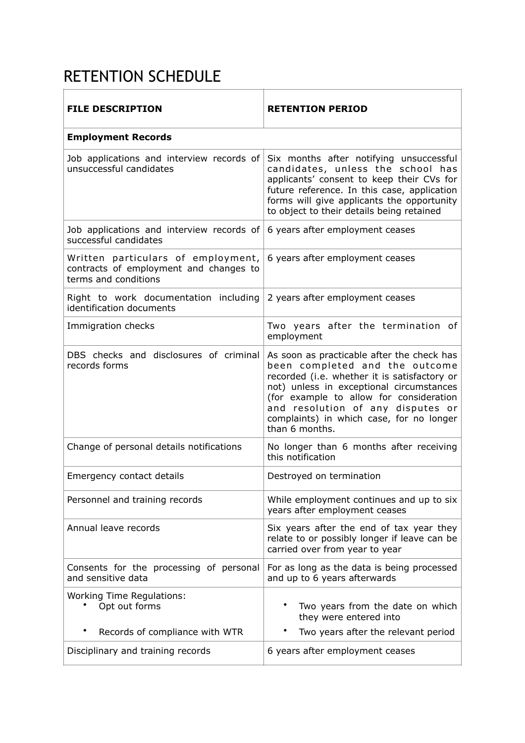# RETENTION SCHEDULE

| <b>FILE DESCRIPTION</b>                                                                              | <b>RETENTION PERIOD</b>                                                                                                                                                                                                                                                                                                |
|------------------------------------------------------------------------------------------------------|------------------------------------------------------------------------------------------------------------------------------------------------------------------------------------------------------------------------------------------------------------------------------------------------------------------------|
| <b>Employment Records</b>                                                                            |                                                                                                                                                                                                                                                                                                                        |
| Job applications and interview records of<br>unsuccessful candidates                                 | Six months after notifying unsuccessful<br>candidates, unless the school has<br>applicants' consent to keep their CVs for<br>future reference. In this case, application<br>forms will give applicants the opportunity<br>to object to their details being retained                                                    |
| Job applications and interview records of<br>successful candidates                                   | 6 years after employment ceases                                                                                                                                                                                                                                                                                        |
| Written particulars of employment,<br>contracts of employment and changes to<br>terms and conditions | 6 years after employment ceases                                                                                                                                                                                                                                                                                        |
| Right to work documentation including<br>identification documents                                    | 2 years after employment ceases                                                                                                                                                                                                                                                                                        |
| Immigration checks                                                                                   | Two years after the termination of<br>employment                                                                                                                                                                                                                                                                       |
| DBS checks and disclosures of criminal<br>records forms                                              | As soon as practicable after the check has<br>been completed and the outcome<br>recorded (i.e. whether it is satisfactory or<br>not) unless in exceptional circumstances<br>(for example to allow for consideration<br>and resolution of any disputes or<br>complaints) in which case, for no longer<br>than 6 months. |
| Change of personal details notifications                                                             | No longer than 6 months after receiving<br>this notification                                                                                                                                                                                                                                                           |
| Emergency contact details                                                                            | Destroyed on termination                                                                                                                                                                                                                                                                                               |
| Personnel and training records                                                                       | While employment continues and up to six<br>years after employment ceases                                                                                                                                                                                                                                              |
| Annual leave records                                                                                 | Six years after the end of tax year they<br>relate to or possibly longer if leave can be<br>carried over from year to year                                                                                                                                                                                             |
| Consents for the processing of personal<br>and sensitive data                                        | For as long as the data is being processed<br>and up to 6 years afterwards                                                                                                                                                                                                                                             |
| <b>Working Time Regulations:</b><br>Opt out forms                                                    | Two years from the date on which<br>they were entered into                                                                                                                                                                                                                                                             |
| Records of compliance with WTR                                                                       | Two years after the relevant period                                                                                                                                                                                                                                                                                    |
| Disciplinary and training records                                                                    | 6 years after employment ceases                                                                                                                                                                                                                                                                                        |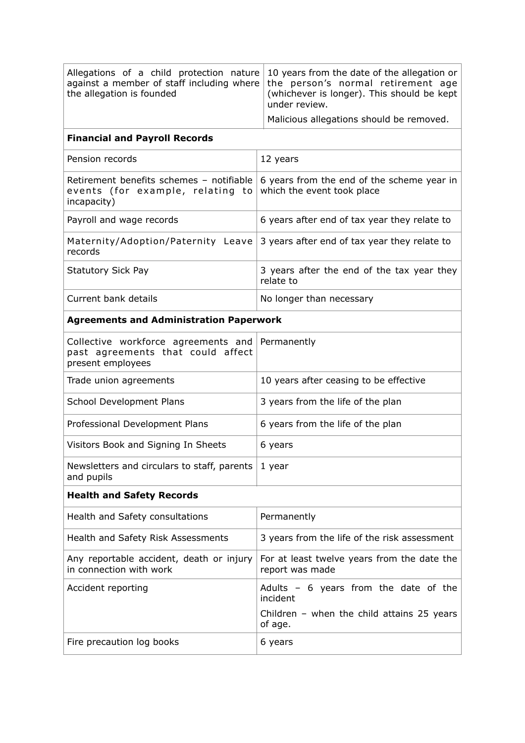| Allegations of a child protection nature<br>against a member of staff including where<br>the allegation is founded | 10 years from the date of the allegation or<br>the person's normal retirement age<br>(whichever is longer). This should be kept<br>under review. |  |
|--------------------------------------------------------------------------------------------------------------------|--------------------------------------------------------------------------------------------------------------------------------------------------|--|
| Malicious allegations should be removed.                                                                           |                                                                                                                                                  |  |
| <b>Financial and Payroll Records</b>                                                                               |                                                                                                                                                  |  |
| Pension records                                                                                                    | 12 years                                                                                                                                         |  |
| Retirement benefits schemes - notifiable<br>events (for example, relating to<br>incapacity)                        | 6 years from the end of the scheme year in<br>which the event took place                                                                         |  |
| Payroll and wage records                                                                                           | 6 years after end of tax year they relate to                                                                                                     |  |
| Maternity/Adoption/Paternity Leave<br>records                                                                      | 3 years after end of tax year they relate to                                                                                                     |  |
| <b>Statutory Sick Pay</b>                                                                                          | 3 years after the end of the tax year they<br>relate to                                                                                          |  |
| Current bank details                                                                                               | No longer than necessary                                                                                                                         |  |
| <b>Agreements and Administration Paperwork</b>                                                                     |                                                                                                                                                  |  |
| Collective workforce agreements and<br>past agreements that could affect<br>present employees                      | Permanently                                                                                                                                      |  |
| Trade union agreements                                                                                             | 10 years after ceasing to be effective                                                                                                           |  |
| School Development Plans                                                                                           | 3 years from the life of the plan                                                                                                                |  |
| Professional Development Plans                                                                                     | 6 years from the life of the plan                                                                                                                |  |
| Visitors Book and Signing In Sheets                                                                                | 6 years                                                                                                                                          |  |
| Newsletters and circulars to staff, parents<br>and pupils                                                          | 1 year                                                                                                                                           |  |
| <b>Health and Safety Records</b>                                                                                   |                                                                                                                                                  |  |
| Health and Safety consultations                                                                                    | Permanently                                                                                                                                      |  |
| Health and Safety Risk Assessments                                                                                 | 3 years from the life of the risk assessment                                                                                                     |  |
| Any reportable accident, death or injury<br>in connection with work                                                | For at least twelve years from the date the<br>report was made                                                                                   |  |
| Accident reporting                                                                                                 | Adults $-6$ years from the date of the<br>incident<br>Children - when the child attains $25$ years                                               |  |
|                                                                                                                    | of age.                                                                                                                                          |  |
| Fire precaution log books                                                                                          | 6 years                                                                                                                                          |  |